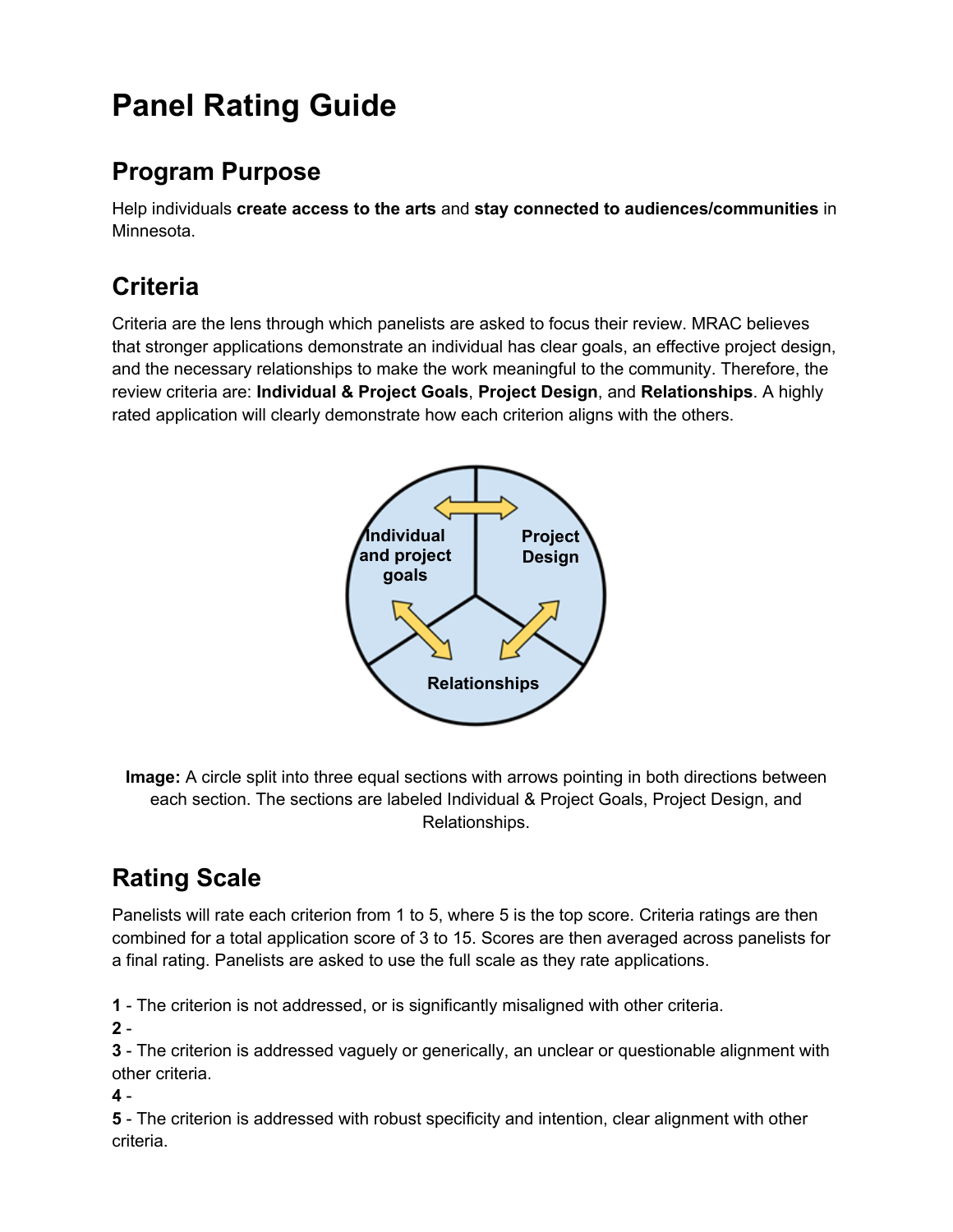# **Panel Rating Guide**

### **Program Purpose**

Help individuals **create access to the arts** and **stay connected to audiences/communities** in Minnesota.

### **Criteria**

Criteria are the lens through which panelists are asked to focus their review. MRAC believes that stronger applications demonstrate an individual has clear goals, an effective project design, and the necessary relationships to make the work meaningful to the community. Therefore, the review criteria are: **Individual & Project Goals**, **Project Design**, and **Relationships**. A highly rated application will clearly demonstrate how each criterion aligns with the others.



**Image:** A circle split into three equal sections with arrows pointing in both directions between each section. The sections are labeled Individual & Project Goals, Project Design, and Relationships.

## **Rating Scale**

Panelists will rate each criterion from 1 to 5, where 5 is the top score. Criteria ratings are then combined for a total application score of 3 to 15. Scores are then averaged across panelists for a final rating. Panelists are asked to use the full scale as they rate applications.

**1** - The criterion is not addressed, or is significantly misaligned with other criteria.

**2** -

**3** - The criterion is addressed vaguely or generically, an unclear or questionable alignment with other criteria.

**4** -

**5** - The criterion is addressed with robust specificity and intention, clear alignment with other criteria.